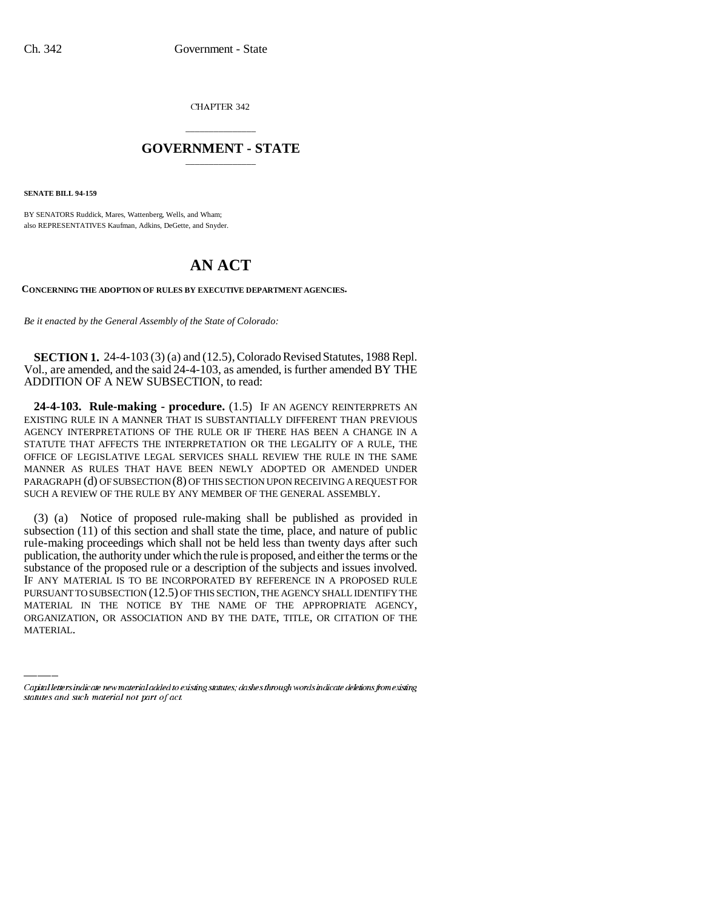CHAPTER 342

## \_\_\_\_\_\_\_\_\_\_\_\_\_\_\_ **GOVERNMENT - STATE** \_\_\_\_\_\_\_\_\_\_\_\_\_\_\_

**SENATE BILL 94-159**

BY SENATORS Ruddick, Mares, Wattenberg, Wells, and Wham; also REPRESENTATIVES Kaufman, Adkins, DeGette, and Snyder.

## **AN ACT**

**CONCERNING THE ADOPTION OF RULES BY EXECUTIVE DEPARTMENT AGENCIES.**

*Be it enacted by the General Assembly of the State of Colorado:*

**SECTION 1.** 24-4-103 (3) (a) and (12.5), Colorado Revised Statutes, 1988 Repl. Vol., are amended, and the said 24-4-103, as amended, is further amended BY THE ADDITION OF A NEW SUBSECTION, to read:

**24-4-103. Rule-making - procedure.** (1.5) IF AN AGENCY REINTERPRETS AN EXISTING RULE IN A MANNER THAT IS SUBSTANTIALLY DIFFERENT THAN PREVIOUS AGENCY INTERPRETATIONS OF THE RULE OR IF THERE HAS BEEN A CHANGE IN A STATUTE THAT AFFECTS THE INTERPRETATION OR THE LEGALITY OF A RULE, THE OFFICE OF LEGISLATIVE LEGAL SERVICES SHALL REVIEW THE RULE IN THE SAME MANNER AS RULES THAT HAVE BEEN NEWLY ADOPTED OR AMENDED UNDER PARAGRAPH (d) OF SUBSECTION (8) OF THIS SECTION UPON RECEIVING A REQUEST FOR SUCH A REVIEW OF THE RULE BY ANY MEMBER OF THE GENERAL ASSEMBLY.

PURSUANT TO SUBSECTION (12.5) OF THIS SECTION, THE AGENCY SHALL IDENTIFY THE (3) (a) Notice of proposed rule-making shall be published as provided in subsection (11) of this section and shall state the time, place, and nature of public rule-making proceedings which shall not be held less than twenty days after such publication, the authority under which the rule is proposed, and either the terms or the substance of the proposed rule or a description of the subjects and issues involved. IF ANY MATERIAL IS TO BE INCORPORATED BY REFERENCE IN A PROPOSED RULE MATERIAL IN THE NOTICE BY THE NAME OF THE APPROPRIATE AGENCY, ORGANIZATION, OR ASSOCIATION AND BY THE DATE, TITLE, OR CITATION OF THE MATERIAL.

Capital letters indicate new material added to existing statutes; dashes through words indicate deletions from existing statutes and such material not part of act.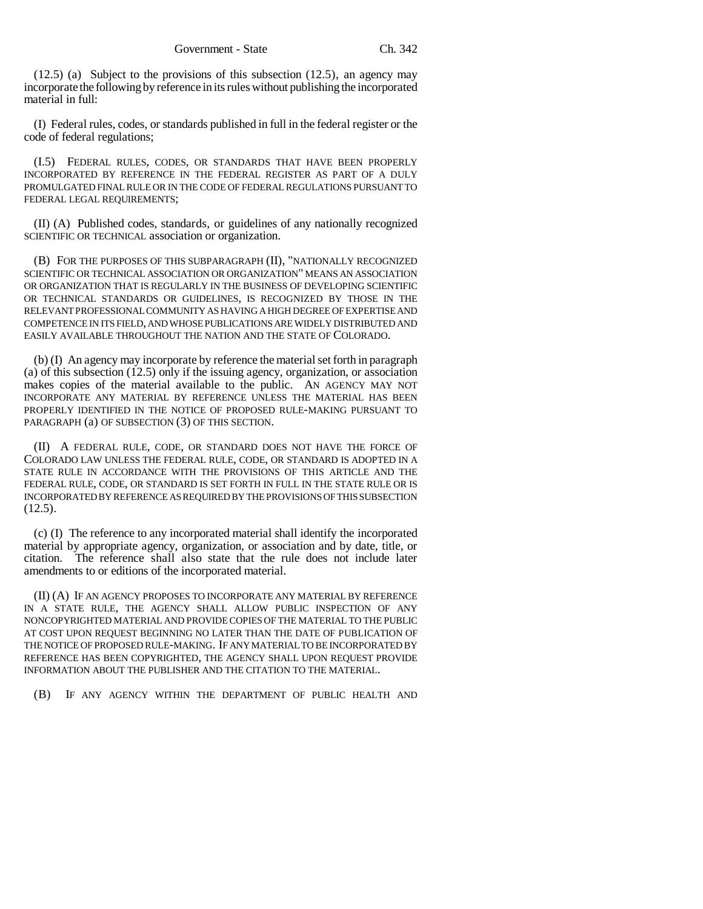(12.5) (a) Subject to the provisions of this subsection (12.5), an agency may incorporate the following by reference in its rules without publishing the incorporated material in full:

(I) Federal rules, codes, or standards published in full in the federal register or the code of federal regulations;

(I.5) FEDERAL RULES, CODES, OR STANDARDS THAT HAVE BEEN PROPERLY INCORPORATED BY REFERENCE IN THE FEDERAL REGISTER AS PART OF A DULY PROMULGATED FINAL RULE OR IN THE CODE OF FEDERAL REGULATIONS PURSUANT TO FEDERAL LEGAL REQUIREMENTS;

(II) (A) Published codes, standards, or guidelines of any nationally recognized SCIENTIFIC OR TECHNICAL association or organization.

(B) FOR THE PURPOSES OF THIS SUBPARAGRAPH (II), "NATIONALLY RECOGNIZED SCIENTIFIC OR TECHNICAL ASSOCIATION OR ORGANIZATION" MEANS AN ASSOCIATION OR ORGANIZATION THAT IS REGULARLY IN THE BUSINESS OF DEVELOPING SCIENTIFIC OR TECHNICAL STANDARDS OR GUIDELINES, IS RECOGNIZED BY THOSE IN THE RELEVANT PROFESSIONAL COMMUNITY AS HAVING A HIGH DEGREE OF EXPERTISE AND COMPETENCE IN ITS FIELD, AND WHOSE PUBLICATIONS ARE WIDELY DISTRIBUTED AND EASILY AVAILABLE THROUGHOUT THE NATION AND THE STATE OF COLORADO.

(b) (I) An agency may incorporate by reference the material set forth in paragraph (a) of this subsection (12.5) only if the issuing agency, organization, or association makes copies of the material available to the public. AN AGENCY MAY NOT INCORPORATE ANY MATERIAL BY REFERENCE UNLESS THE MATERIAL HAS BEEN PROPERLY IDENTIFIED IN THE NOTICE OF PROPOSED RULE-MAKING PURSUANT TO PARAGRAPH (a) OF SUBSECTION (3) OF THIS SECTION.

(II) A FEDERAL RULE, CODE, OR STANDARD DOES NOT HAVE THE FORCE OF COLORADO LAW UNLESS THE FEDERAL RULE, CODE, OR STANDARD IS ADOPTED IN A STATE RULE IN ACCORDANCE WITH THE PROVISIONS OF THIS ARTICLE AND THE FEDERAL RULE, CODE, OR STANDARD IS SET FORTH IN FULL IN THE STATE RULE OR IS INCORPORATED BY REFERENCE AS REQUIRED BY THE PROVISIONS OF THIS SUBSECTION  $(12.5).$ 

(c) (I) The reference to any incorporated material shall identify the incorporated material by appropriate agency, organization, or association and by date, title, or citation. The reference shall also state that the rule does not include later amendments to or editions of the incorporated material.

(II) (A) IF AN AGENCY PROPOSES TO INCORPORATE ANY MATERIAL BY REFERENCE IN A STATE RULE, THE AGENCY SHALL ALLOW PUBLIC INSPECTION OF ANY NONCOPYRIGHTED MATERIAL AND PROVIDE COPIES OF THE MATERIAL TO THE PUBLIC AT COST UPON REQUEST BEGINNING NO LATER THAN THE DATE OF PUBLICATION OF THE NOTICE OF PROPOSED RULE-MAKING. IF ANY MATERIAL TO BE INCORPORATED BY REFERENCE HAS BEEN COPYRIGHTED, THE AGENCY SHALL UPON REQUEST PROVIDE INFORMATION ABOUT THE PUBLISHER AND THE CITATION TO THE MATERIAL.

(B) IF ANY AGENCY WITHIN THE DEPARTMENT OF PUBLIC HEALTH AND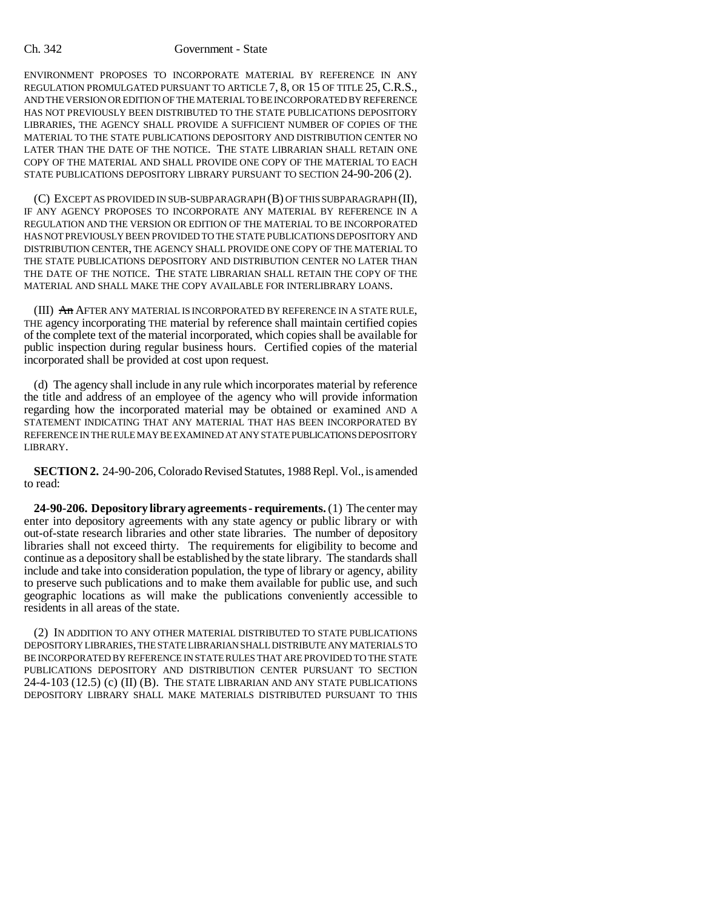## Ch. 342 Government - State

ENVIRONMENT PROPOSES TO INCORPORATE MATERIAL BY REFERENCE IN ANY REGULATION PROMULGATED PURSUANT TO ARTICLE 7, 8, OR 15 OF TITLE 25, C.R.S., AND THE VERSION OR EDITION OF THE MATERIAL TO BE INCORPORATED BY REFERENCE HAS NOT PREVIOUSLY BEEN DISTRIBUTED TO THE STATE PUBLICATIONS DEPOSITORY LIBRARIES, THE AGENCY SHALL PROVIDE A SUFFICIENT NUMBER OF COPIES OF THE MATERIAL TO THE STATE PUBLICATIONS DEPOSITORY AND DISTRIBUTION CENTER NO LATER THAN THE DATE OF THE NOTICE. THE STATE LIBRARIAN SHALL RETAIN ONE COPY OF THE MATERIAL AND SHALL PROVIDE ONE COPY OF THE MATERIAL TO EACH STATE PUBLICATIONS DEPOSITORY LIBRARY PURSUANT TO SECTION 24-90-206 (2).

(C) EXCEPT AS PROVIDED IN SUB-SUBPARAGRAPH (B) OF THIS SUBPARAGRAPH (II), IF ANY AGENCY PROPOSES TO INCORPORATE ANY MATERIAL BY REFERENCE IN A REGULATION AND THE VERSION OR EDITION OF THE MATERIAL TO BE INCORPORATED HAS NOT PREVIOUSLY BEEN PROVIDED TO THE STATE PUBLICATIONS DEPOSITORY AND DISTRIBUTION CENTER, THE AGENCY SHALL PROVIDE ONE COPY OF THE MATERIAL TO THE STATE PUBLICATIONS DEPOSITORY AND DISTRIBUTION CENTER NO LATER THAN THE DATE OF THE NOTICE. THE STATE LIBRARIAN SHALL RETAIN THE COPY OF THE MATERIAL AND SHALL MAKE THE COPY AVAILABLE FOR INTERLIBRARY LOANS.

(III) An AFTER ANY MATERIAL IS INCORPORATED BY REFERENCE IN A STATE RULE, THE agency incorporating THE material by reference shall maintain certified copies of the complete text of the material incorporated, which copies shall be available for public inspection during regular business hours. Certified copies of the material incorporated shall be provided at cost upon request.

(d) The agency shall include in any rule which incorporates material by reference the title and address of an employee of the agency who will provide information regarding how the incorporated material may be obtained or examined AND A STATEMENT INDICATING THAT ANY MATERIAL THAT HAS BEEN INCORPORATED BY REFERENCE IN THE RULE MAY BE EXAMINED AT ANY STATE PUBLICATIONS DEPOSITORY LIBRARY.

**SECTION 2.** 24-90-206, Colorado Revised Statutes, 1988 Repl. Vol., is amended to read:

**24-90-206. Depository library agreements - requirements.** (1) The center may enter into depository agreements with any state agency or public library or with out-of-state research libraries and other state libraries. The number of depository libraries shall not exceed thirty. The requirements for eligibility to become and continue as a depository shall be established by the state library. The standards shall include and take into consideration population, the type of library or agency, ability to preserve such publications and to make them available for public use, and such geographic locations as will make the publications conveniently accessible to residents in all areas of the state.

(2) IN ADDITION TO ANY OTHER MATERIAL DISTRIBUTED TO STATE PUBLICATIONS DEPOSITORY LIBRARIES, THE STATE LIBRARIAN SHALL DISTRIBUTE ANY MATERIALS TO BE INCORPORATED BY REFERENCE IN STATE RULES THAT ARE PROVIDED TO THE STATE PUBLICATIONS DEPOSITORY AND DISTRIBUTION CENTER PURSUANT TO SECTION 24-4-103 (12.5) (c) (II) (B). THE STATE LIBRARIAN AND ANY STATE PUBLICATIONS DEPOSITORY LIBRARY SHALL MAKE MATERIALS DISTRIBUTED PURSUANT TO THIS